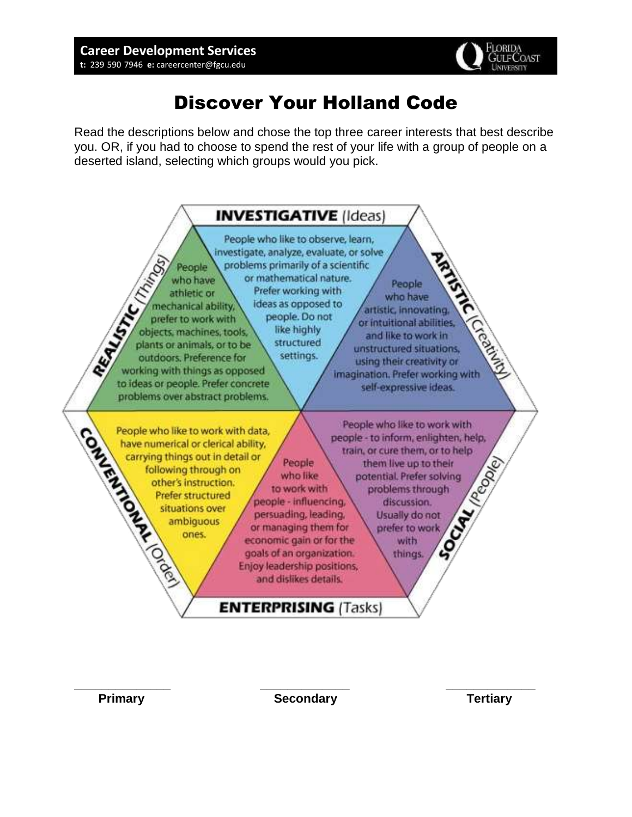

# Discover Your Holland Code

 you. OR, if you had to choose to spend the rest of your life with a group of people on a Read the descriptions below and chose the top three career interests that best describe deserted island, selecting which groups would you pick.



**\_\_\_\_\_\_\_\_\_\_\_\_\_\_ \_\_\_\_\_\_\_\_\_\_\_\_\_ \_\_\_\_\_\_\_\_\_\_\_\_\_ Primary Communist Condary Secondary Communist Conduct Conduct Conduct Conduct Conduct Conduct Conduct Conduct**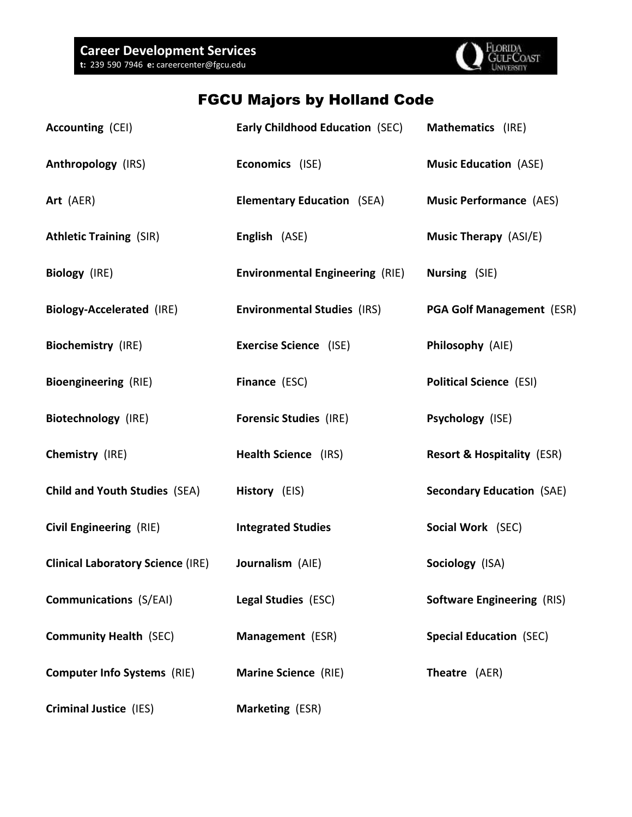

### FGCU Majors by Holland Code

| Accounting (CEI)                         | <b>Early Childhood Education (SEC)</b> | Mathematics (IRE)                     |
|------------------------------------------|----------------------------------------|---------------------------------------|
| <b>Anthropology (IRS)</b>                | Economics (ISE)                        | <b>Music Education (ASE)</b>          |
| Art (AER)                                | <b>Elementary Education</b> (SEA)      | <b>Music Performance (AES)</b>        |
| <b>Athletic Training (SIR)</b>           | English (ASE)                          | <b>Music Therapy</b> (ASI/E)          |
| Biology (IRE)                            | <b>Environmental Engineering (RIE)</b> | Nursing (SIE)                         |
| <b>Biology-Accelerated (IRE)</b>         | <b>Environmental Studies (IRS)</b>     | <b>PGA Golf Management (ESR)</b>      |
| <b>Biochemistry (IRE)</b>                | <b>Exercise Science</b> (ISE)          | Philosophy (AIE)                      |
| <b>Bioengineering (RIE)</b>              | Finance (ESC)                          | <b>Political Science (ESI)</b>        |
| <b>Biotechnology (IRE)</b>               | <b>Forensic Studies (IRE)</b>          | Psychology (ISE)                      |
| Chemistry (IRE)                          | Health Science (IRS)                   | <b>Resort &amp; Hospitality (ESR)</b> |
| <b>Child and Youth Studies (SEA)</b>     | History (EIS)                          | <b>Secondary Education (SAE)</b>      |
| <b>Civil Engineering (RIE)</b>           | <b>Integrated Studies</b>              | Social Work (SEC)                     |
| <b>Clinical Laboratory Science (IRE)</b> | Journalism (AIE)                       | Sociology (ISA)                       |
| <b>Communications (S/EAI)</b>            | Legal Studies (ESC)                    | <b>Software Engineering (RIS)</b>     |
| <b>Community Health (SEC)</b>            | Management (ESR)                       | <b>Special Education (SEC)</b>        |
| <b>Computer Info Systems (RIE)</b>       | <b>Marine Science (RIE)</b>            | Theatre (AER)                         |
| <b>Criminal Justice (IES)</b>            | Marketing (ESR)                        |                                       |